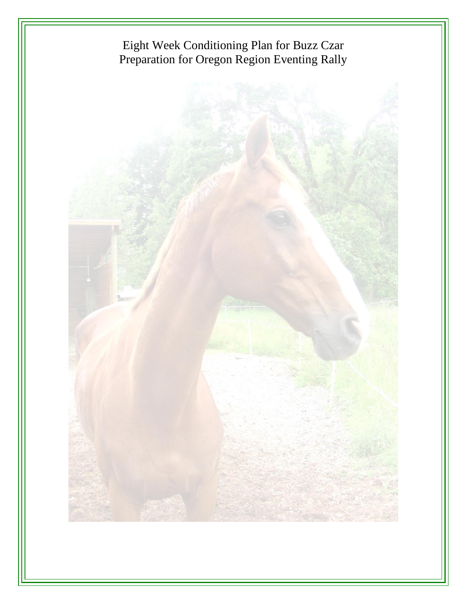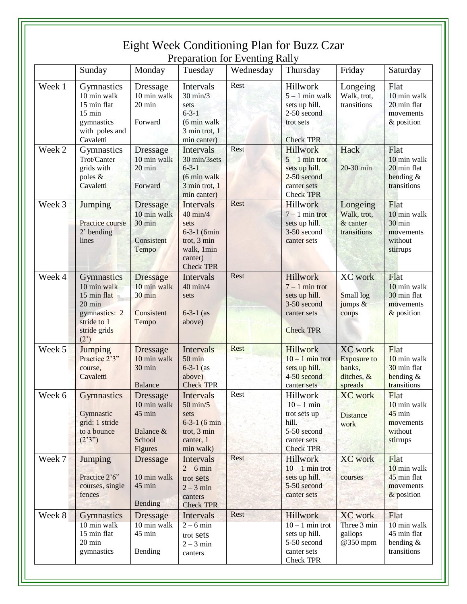|        | Sunday                                                                                                                         | Monday                                                                               | Tuesday                                                                                                                  | Wednesday | Thursday                                                                                                   | Friday                                                                  | Saturday                                                            |
|--------|--------------------------------------------------------------------------------------------------------------------------------|--------------------------------------------------------------------------------------|--------------------------------------------------------------------------------------------------------------------------|-----------|------------------------------------------------------------------------------------------------------------|-------------------------------------------------------------------------|---------------------------------------------------------------------|
| Week 1 | Gymnastics<br>10 min walk<br>15 min flat<br>$15 \text{ min}$<br>gymnastics<br>with poles and<br>Cavaletti                      | Dressage<br>10 min walk<br>$20 \text{ min}$<br>Forward                               | Intervals<br>$30 \text{ min}/3$<br>sets<br>$6 - 3 - 1$<br>(6 min walk<br>3 min trot, 1<br>min canter)                    | Rest      | Hillwork<br>$5 - 1$ min walk<br>sets up hill.<br>2-50 second<br>trot sets<br><b>Check TPR</b>              | Longeing<br>Walk, trot,<br>transitions                                  | Flat<br>10 min walk<br>20 min flat<br>movements<br>& position       |
| Week 2 | Gymnastics<br>Trot/Canter<br>grids with<br>poles &<br>Cavaletti                                                                | <b>Dressage</b><br>10 min walk<br>20 min<br>Forward                                  | Intervals<br>30 min/3sets<br>$6 - 3 - 1$<br>(6 min walk)<br>3 min trot, 1<br>min canter)                                 | Rest      | Hillwork<br>$5 - 1$ min trot<br>sets up hill.<br>2-50 second<br>canter sets<br><b>Check TPR</b>            | Hack<br>20-30 min                                                       | Flat<br>10 min walk<br>20 min flat<br>bending $&$<br>transitions    |
| Week 3 | Jumping<br><b>Practice course</b><br>2' bending<br>lines                                                                       | <b>Dressage</b><br>10 min walk<br>30 min<br>Consistent<br>Tempo                      | Intervals<br>$40 \text{ min}/4$<br>sets<br>$6 - 3 - 1$ (6min<br>trot, 3 min<br>walk, 1min<br>canter)<br><b>Check TPR</b> | Rest      | Hillwork<br>$7 - 1$ min trot<br>sets up hill.<br>3-50 second<br>canter sets                                | Longeing<br>Walk, trot,<br>& canter<br>transitions                      | Flat<br>10 min walk<br>30 min<br>movements<br>without<br>stirrups   |
| Week 4 | Gymnastics<br>10 min walk<br>15 min flat<br>$20 \text{ min}$<br>gymnastics: 2<br>stride to 1<br>stride grids<br>$(2^{\prime})$ | <b>Dressage</b><br>10 min walk<br>30 min<br>Consistent<br>Tempo                      | Intervals<br>$40$ min/4<br>sets<br>$6 - 3 - 1$ (as<br>above)                                                             | Rest      | Hillwork<br>$7 - 1$ min trot<br>sets up hill.<br>3-50 second<br>canter sets<br><b>Check TPR</b>            | <b>XC</b> work<br>Small log<br>jumps &<br>coups                         | Flat<br>10 min walk<br>30 min flat<br>movements<br>& position       |
| Week 5 | <b>Jumping</b><br>Practice 2'3"<br>course,<br>Cavaletti                                                                        | <b>Dressage</b><br>10 min walk<br>30 min<br>Balance                                  | Intervals<br>$50 \text{ min}$<br>$6 - 3 - 1$ (as<br>above)<br><b>Check TPR</b>                                           | Rest      | <b>Hillwork</b><br>$10 - 1$ min trot<br>sets up hill.<br>4-50 second<br>canter sets                        | <b>XC</b> work<br><b>Exposure to</b><br>banks.<br>ditches, &<br>spreads | Flat<br>10 min walk<br>30 min flat<br>bending $&$<br>transitions    |
| Week 6 | <b>Gymnastics</b><br>Gymnastic<br>grid: 1 stride<br>to a bounce<br>(2'3'')                                                     | <b>Dressage</b><br>10 min walk<br>$45 \text{ min}$<br>Balance &<br>School<br>Figures | Intervals<br>$50 \text{ min}/5$<br>sets<br>$6 - 3 - 1$ (6 min<br>trot, 3 min<br>canter, 1<br>min walk)                   | Rest      | <b>Hillwork</b><br>$10 - 1$ min<br>trot sets up<br>hill.<br>5-50 second<br>canter sets<br><b>Check TPR</b> | <b>XC</b> work<br><b>Distance</b><br>work                               | Flat<br>10 min walk<br>$45$ min<br>movements<br>without<br>stirrups |
| Week 7 | Jumping<br>Practice 2'6"<br>courses, single<br>fences                                                                          | <b>Dressage</b><br>10 min walk<br>45 min<br><b>Bending</b>                           | Intervals<br>$2 - 6$ min<br>trot sets<br>$2 - 3$ min<br>canters<br><b>Check TPR</b>                                      | Rest      | Hillwork<br>$10 - 1$ min trot<br>sets up hill.<br>5-50 second<br>canter sets                               | <b>XC</b> work<br>courses                                               | Flat<br>10 min walk<br>45 min flat<br>movements<br>& position       |
| Week 8 | <b>Gymnastics</b><br>10 min walk<br>15 min flat<br>20 min<br>gymnastics                                                        | <b>Dressage</b><br>10 min walk<br>45 min<br>Bending                                  | Intervals<br>$2 - 6$ min<br>trot sets<br>$2 - 3$ min<br>canters                                                          | Rest      | <b>Hillwork</b><br>$10 - 1$ min trot<br>sets up hill.<br>5-50 second<br>canter sets<br><b>Check TPR</b>    | <b>XC</b> work<br>Three 3 min<br>gallops<br>@350 mpm                    | Flat<br>10 min walk<br>45 min flat<br>bending $&$<br>transitions    |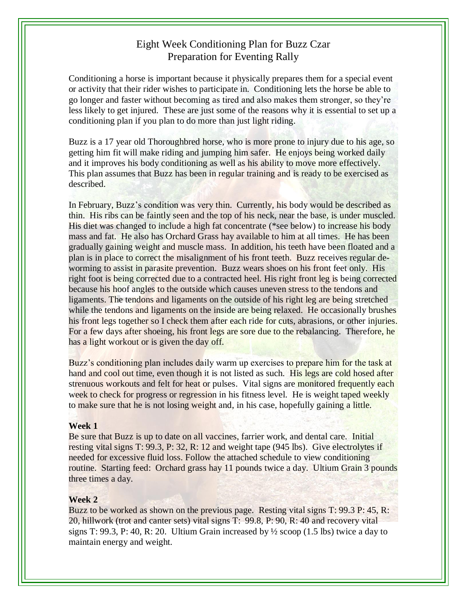## Eight Week Conditioning Plan for Buzz Czar Preparation for Eventing Rally

Conditioning a horse is important because it physically prepares them for a special event or activity that their rider wishes to participate in. Conditioning lets the horse be able to go longer and faster without becoming as tired and also makes them stronger, so they're less likely to get injured. These are just some of the reasons why it is essential to set up a conditioning plan if you plan to do more than just light riding.

Buzz is a 17 year old Thoroughbred horse, who is more prone to injury due to his age, so getting him fit will make riding and jumping him safer. He enjoys being worked daily and it improves his body conditioning as well as his ability to move more effectively. This plan assumes that Buzz has been in regular training and is ready to be exercised as described.

In February, Buzz's condition was very thin. Currently, his body would be described as thin. His ribs can be faintly seen and the top of his neck, near the base, is under muscled. His diet was changed to include a high fat concentrate (\*see below) to increase his body mass and fat. He also has Orchard Grass hay available to him at all times. He has been gradually gaining weight and muscle mass. In addition, his teeth have been floated and a plan is in place to correct the misalignment of his front teeth. Buzz receives regular deworming to assist in parasite prevention. Buzz wears shoes on his front feet only. His right foot is being corrected due to a contracted heel. His right front leg is being corrected because his hoof angles to the outside which causes uneven stress to the tendons and ligaments. The tendons and ligaments on the outside of his right leg are being stretched while the tendons and ligaments on the inside are being relaxed. He occasionally brushes his front legs together so I check them after each ride for cuts, abrasions, or other injuries. For a few days after shoeing, his front legs are sore due to the rebalancing. Therefore, he has a light workout or is given the day off.

Buzz's conditioning plan includes daily warm up exercises to prepare him for the task at hand and cool out time, even though it is not listed as such. His legs are cold hosed after strenuous workouts and felt for heat or pulses. Vital signs are monitored frequently each week to check for progress or regression in his fitness level. He is weight taped weekly to make sure that he is not losing weight and, in his case, hopefully gaining a little.

#### **Week 1**

Be sure that Buzz is up to date on all vaccines, farrier work, and dental care. Initial resting vital signs T: 99.3, P: 32, R: 12 and weight tape (945 lbs). Give electrolytes if needed for excessive fluid loss. Follow the attached schedule to view conditioning routine. Starting feed: Orchard grass hay 11 pounds twice a day. Ultium Grain 3 pounds three times a day.

## **Week 2**

Buzz to be worked as shown on the previous page. Resting vital signs T: 99.3 P: 45, R: 20, hillwork (trot and canter sets) vital signs T: 99.8, P: 90, R: 40 and recovery vital signs T: 99.3, P: 40, R: 20. Ultium Grain increased by  $\frac{1}{2}$  scoop (1.5 lbs) twice a day to maintain energy and weight.